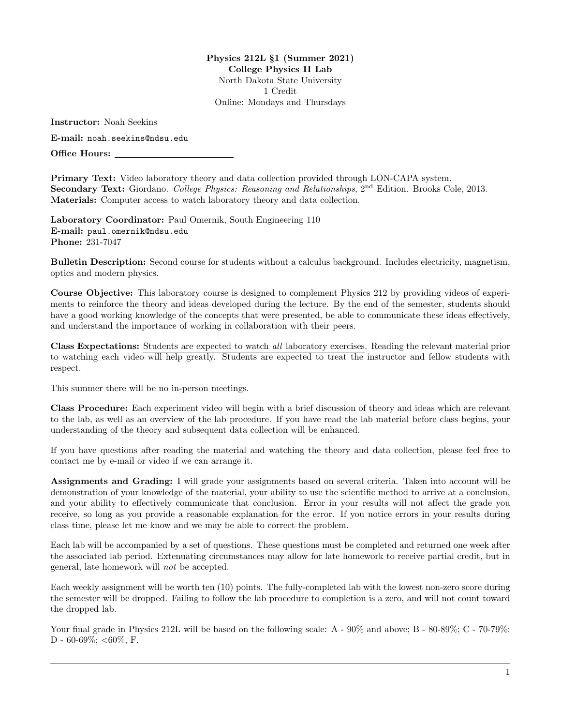Physics 212L §1 (Summer 2021) College Physics II Lab North Dakota State University 1 Credit Online: Mondays and Thursdays

Instructor: Noah Seekins

E-mail: <noah.seekins@ndsu.edu>

Office Hours:

Primary Text: Video laboratory theory and data collection provided through LON-CAPA system. Secondary Text: Giordano. College Physics: Reasoning and Relationships, 2<sup>nd</sup> Edition. Brooks Cole. 2013. Materials: Computer access to watch laboratory theory and data collection.

Laboratory Coordinator: Paul Omernik, South Engineering 110 E-mail: <paul.omernik@ndsu.edu> Phone: 231-7047

Bulletin Description: Second course for students without a calculus background. Includes electricity, magnetism, optics and modern physics.

Course Objective: This laboratory course is designed to complement Physics 212 by providing videos of experiments to reinforce the theory and ideas developed during the lecture. By the end of the semester, students should have a good working knowledge of the concepts that were presented, be able to communicate these ideas effectively, and understand the importance of working in collaboration with their peers.

Class Expectations: Students are expected to watch all laboratory exercises. Reading the relevant material prior to watching each video will help greatly. Students are expected to treat the instructor and fellow students with respect.

This summer there will be no in-person meetings.

Class Procedure: Each experiment video will begin with a brief discussion of theory and ideas which are relevant to the lab, as well as an overview of the lab procedure. If you have read the lab material before class begins, your understanding of the theory and subsequent data collection will be enhanced.

If you have questions after reading the material and watching the theory and data collection, please feel free to contact me by e-mail or video if we can arrange it.

Assignments and Grading: I will grade your assignments based on several criteria. Taken into account will be demonstration of your knowledge of the material, your ability to use the scientific method to arrive at a conclusion, and your ability to effectively communicate that conclusion. Error in your results will not affect the grade you receive, so long as you provide a reasonable explanation for the error. If you notice errors in your results during class time, please let me know and we may be able to correct the problem.

Each lab will be accompanied by a set of questions. These questions must be completed and returned one week after the associated lab period. Extenuating circumstances may allow for late homework to receive partial credit, but in general, late homework will not be accepted.

Each weekly assignment will be worth ten (10) points. The fully-completed lab with the lowest non-zero score during the semester will be dropped. Failing to follow the lab procedure to completion is a zero, and will not count toward the dropped lab.

Your final grade in Physics 212L will be based on the following scale: A -  $90\%$  and above; B -  $80-89\%$ ; C -  $70-79\%$ ; D - 60-69%; <60%, F.